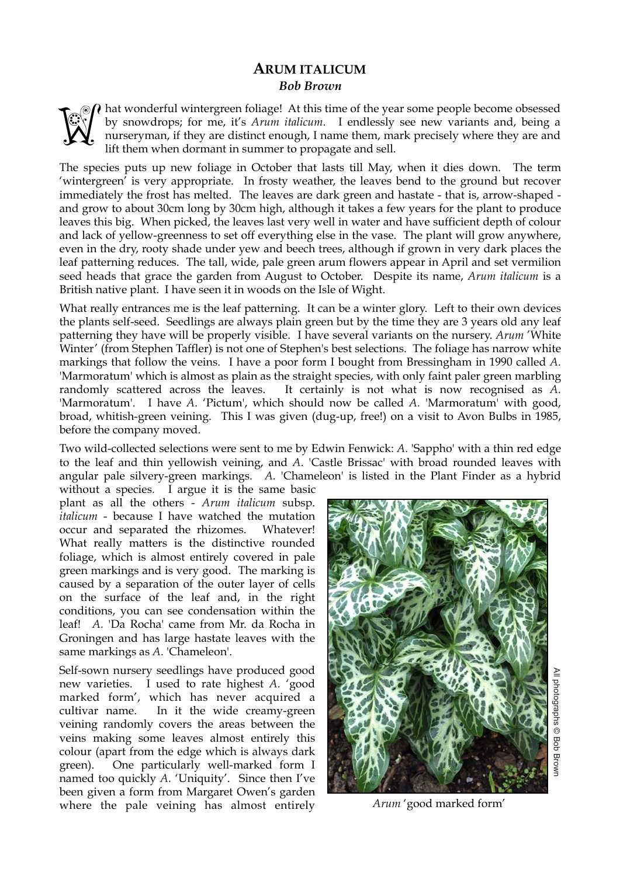## **ARUM ITALICUM**  *Bob Brown*

 $\Omega$  hat wonderful wintergreen foliage! At this time of the year some people become obsessed by snowdrops; for me, it's *Arum italicum*. I endlessly see new variants and, being a nurseryman, if they are distinct enough, I name them, mark precisely where they are and lift them when dormant in summer to propagate and sell. **Weg** 

The species puts up new foliage in October that lasts till May, when it dies down. The term 'wintergreen' is very appropriate. In frosty weather, the leaves bend to the ground but recover immediately the frost has melted. The leaves are dark green and hastate - that is, arrow-shaped and grow to about 30cm long by 30cm high, although it takes a few years for the plant to produce leaves this big. When picked, the leaves last very well in water and have sufficient depth of colour and lack of yellow-greenness to set off everything else in the vase. The plant will grow anywhere, even in the dry, rooty shade under yew and beech trees, although if grown in very dark places the leaf patterning reduces. The tall, wide, pale green arum flowers appear in April and set vermilion seed heads that grace the garden from August to October. Despite its name, *Arum italicum* is a British native plant. I have seen it in woods on the Isle of Wight.

What really entrances me is the leaf patterning. It can be a winter glory. Left to their own devices the plants self-seed. Seedlings are always plain green but by the time they are 3 years old any leaf patterning they have will be properly visible. I have several variants on the nursery. *Arum* 'White Winter' (from Stephen Taffler) is not one of Stephen's best selections. The foliage has narrow white markings that follow the veins. I have a poor form I bought from Bressingham in 1990 called *A.*  'Marmoratum' which is almost as plain as the straight species, with only faint paler green marbling randomly scattered across the leaves. It certainly is not what is now recognised as *A.*  'Marmoratum'. I have *A*. 'Pictum', which should now be called *A*. 'Marmoratum' with good, broad, whitish-green veining. This I was given (dug-up, free!) on a visit to Avon Bulbs in 1985, before the company moved.

Two wild-collected selections were sent to me by Edwin Fenwick: *A.* 'Sappho' with a thin red edge to the leaf and thin yellowish veining, and *A.* 'Castle Brissac' with broad rounded leaves with angular pale silvery-green markings. *A.* 'Chameleon' is listed in the Plant Finder as a hybrid

without a species. I argue it is the same basic plant as all the others - *Arum italicum* subsp. *italicum* - because I have watched the mutation occur and separated the rhizomes. Whatever! What really matters is the distinctive rounded foliage, which is almost entirely covered in pale green markings and is very good. The marking is caused by a separation of the outer layer of cells on the surface of the leaf and, in the right conditions, you can see condensation within the leaf! *A.* 'Da Rocha' came from Mr. da Rocha in Groningen and has large hastate leaves with the same markings as *A.* 'Chameleon'.

Self-sown nursery seedlings have produced good new varieties. I used to rate highest *A.* 'good marked form', which has never acquired a cultivar name. In it the wide creamy-green veining randomly covers the areas between the veins making some leaves almost entirely this colour (apart from the edge which is always dark green). One particularly well-marked form I named too quickly *A.* 'Uniquity'. Since then I've been given a form from Margaret Owen's garden where the pale veining has almost entirely



*Arum* 'good marked form'